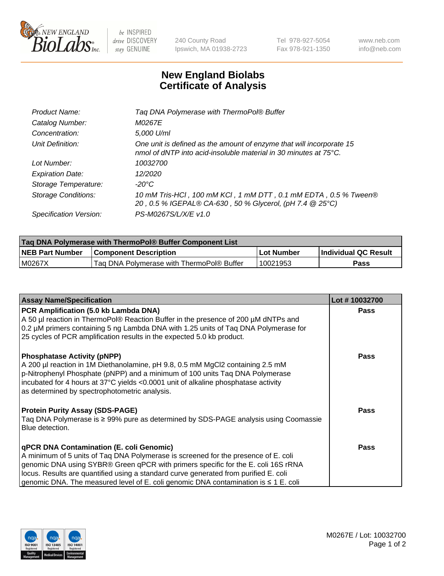

 $be$  INSPIRED drive DISCOVERY stay GENUINE

240 County Road Ipswich, MA 01938-2723 Tel 978-927-5054 Fax 978-921-1350 www.neb.com info@neb.com

## **New England Biolabs Certificate of Analysis**

| Tag DNA Polymerase with ThermoPol® Buffer                                                                                                |
|------------------------------------------------------------------------------------------------------------------------------------------|
| M0267E                                                                                                                                   |
| 5,000 U/ml                                                                                                                               |
| One unit is defined as the amount of enzyme that will incorporate 15<br>nmol of dNTP into acid-insoluble material in 30 minutes at 75°C. |
| 10032700                                                                                                                                 |
| 12/2020                                                                                                                                  |
| $-20^{\circ}$ C                                                                                                                          |
| 10 mM Tris-HCl, 100 mM KCl, 1 mM DTT, 0.1 mM EDTA, 0.5 % Tween®<br>20, 0.5 % IGEPAL® CA-630, 50 % Glycerol, (pH 7.4 @ 25°C)              |
| PS-M0267S/L/X/E v1.0                                                                                                                     |
|                                                                                                                                          |

| <b>Tag DNA Polymerase with ThermoPol® Buffer Component List</b> |                                           |            |                      |  |  |
|-----------------------------------------------------------------|-------------------------------------------|------------|----------------------|--|--|
| <b>NEB Part Number</b>                                          | <b>Component Description</b>              | Lot Number | Individual QC Result |  |  |
| IM0267X                                                         | Tag DNA Polymerase with ThermoPol® Buffer | 10021953   | Pass                 |  |  |

| <b>Assay Name/Specification</b>                                                                                                                                                                                                                                                                                                                                                                         | Lot #10032700 |
|---------------------------------------------------------------------------------------------------------------------------------------------------------------------------------------------------------------------------------------------------------------------------------------------------------------------------------------------------------------------------------------------------------|---------------|
| PCR Amplification (5.0 kb Lambda DNA)<br>A 50 µl reaction in ThermoPol® Reaction Buffer in the presence of 200 µM dNTPs and<br>0.2 µM primers containing 5 ng Lambda DNA with 1.25 units of Taq DNA Polymerase for<br>25 cycles of PCR amplification results in the expected 5.0 kb product.                                                                                                            | <b>Pass</b>   |
| <b>Phosphatase Activity (pNPP)</b><br>A 200 µl reaction in 1M Diethanolamine, pH 9.8, 0.5 mM MgCl2 containing 2.5 mM<br>p-Nitrophenyl Phosphate (pNPP) and a minimum of 100 units Taq DNA Polymerase<br>incubated for 4 hours at 37°C yields <0.0001 unit of alkaline phosphatase activity<br>as determined by spectrophotometric analysis.                                                             | Pass          |
| <b>Protein Purity Assay (SDS-PAGE)</b><br>Taq DNA Polymerase is ≥ 99% pure as determined by SDS-PAGE analysis using Coomassie<br>Blue detection.                                                                                                                                                                                                                                                        | Pass          |
| qPCR DNA Contamination (E. coli Genomic)<br>A minimum of 5 units of Taq DNA Polymerase is screened for the presence of E. coli<br>genomic DNA using SYBR® Green qPCR with primers specific for the E. coli 16S rRNA<br>locus. Results are quantified using a standard curve generated from purified E. coli<br>genomic DNA. The measured level of E. coli genomic DNA contamination is $\leq 1$ E. coli | Pass          |